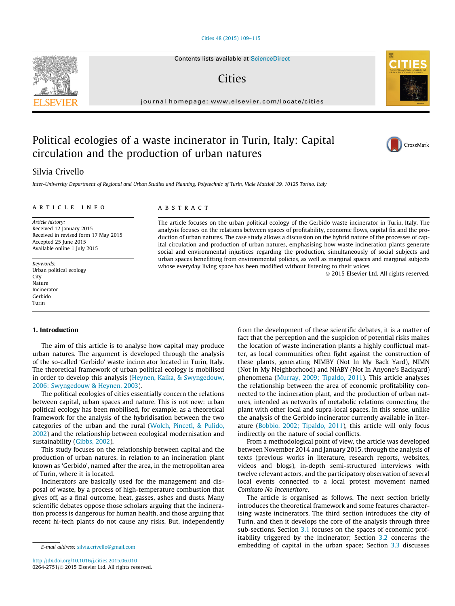#### [Cities 48 \(2015\) 109–115](http://dx.doi.org/10.1016/j.cities.2015.06.010)

Contents lists available at [ScienceDirect](http://www.sciencedirect.com/science/journal/02642751)

**Cities** 

journal homepage: [www.elsevier.com/locate/cities](http://www.elsevier.com/locate/cities)

# Political ecologies of a waste incinerator in Turin, Italy: Capital circulation and the production of urban natures

# Silvia Crivello

Inter-University Department of Regional and Urban Studies and Planning, Polytechnic of Turin, Viale Mattioli 39, 10125 Torino, Italy

#### article info

Article history: Received 12 January 2015 Received in revised form 17 May 2015 Accepted 25 June 2015 Available online 1 July 2015

Keywords: Urban political ecology **City** Nature Incinerator Gerbido Turin

## **ABSTRACT**

The article focuses on the urban political ecology of the Gerbido waste incinerator in Turin, Italy. The analysis focuses on the relations between spaces of profitability, economic flows, capital fix and the production of urban natures. The case study allows a discussion on the hybrid nature of the processes of capital circulation and production of urban natures, emphasising how waste incineration plants generate social and environmental injustices regarding the production, simultaneously of social subjects and urban spaces benefitting from environmental policies, as well as marginal spaces and marginal subjects whose everyday living space has been modified without listening to their voices.

- 2015 Elsevier Ltd. All rights reserved.

# 1. Introduction

The aim of this article is to analyse how capital may produce urban natures. The argument is developed through the analysis of the so-called 'Gerbido' waste incinerator located in Turin, Italy. The theoretical framework of urban political ecology is mobilised in order to develop this analysis ([Heynen, Kaika, & Swyngedouw,](#page-6-0) [2006; Swyngedouw & Heynen, 2003](#page-6-0)).

The political ecologies of cities essentially concern the relations between capital, urban spaces and nature. This is not new: urban political ecology has been mobilised, for example, as a theoretical framework for the analysis of the hybridisation between the two categories of the urban and the rural ([Wolch, Pincetl, & Pulido,](#page-6-0) [2002](#page-6-0)) and the relationship between ecological modernisation and sustainability [\(Gibbs, 2002](#page-5-0)).

This study focuses on the relationship between capital and the production of urban natures, in relation to an incineration plant known as 'Gerbido', named after the area, in the metropolitan area of Turin, where it is located.

Incinerators are basically used for the management and disposal of waste, by a process of high-temperature combustion that gives off, as a final outcome, heat, gasses, ashes and dusts. Many scientific debates oppose those scholars arguing that the incineration process is dangerous for human health, and those arguing that recent hi-tech plants do not cause any risks. But, independently

from the development of these scientific debates, it is a matter of fact that the perception and the suspicion of potential risks makes the location of waste incineration plants a highly conflictual matter, as local communities often fight against the construction of these plants, generating NIMBY (Not In My Back Yard), NIMN (Not In My Neighborhood) and NIABY (Not In Anyone's Backyard) phenomena ([Murray, 2009; Tipaldo, 2011\)](#page-6-0). This article analyses the relationship between the area of economic profitability connected to the incineration plant, and the production of urban natures, intended as networks of metabolic relations connecting the plant with other local and supra-local spaces. In this sense, unlike the analysis of the Gerbido incinerator currently available in literature [\(Bobbio, 2002; Tipaldo, 2011](#page-5-0)), this article will only focus indirectly on the nature of social conflicts. From a methodological point of view, the article was developed

between November 2014 and January 2015, through the analysis of texts (previous works in literature, research reports, websites, videos and blogs), in-depth semi-structured interviews with twelve relevant actors, and the participatory observation of several local events connected to a local protest movement named Comitato No Inceneritore.

The article is organised as follows. The next section briefly introduces the theoretical framework and some features characterising waste incinerators. The third section introduces the city of Turin, and then it develops the core of the analysis through three sub-sections. Section [3.1](#page-2-0) focuses on the spaces of economic profitability triggered by the incinerator; Section [3.2](#page-3-0) concerns the embedding of capital in the urban space; Section [3.3](#page-4-0) discusses







E-mail address: [silvia.crivello@gmail.com](mailto:silvia.crivello@gmail.com)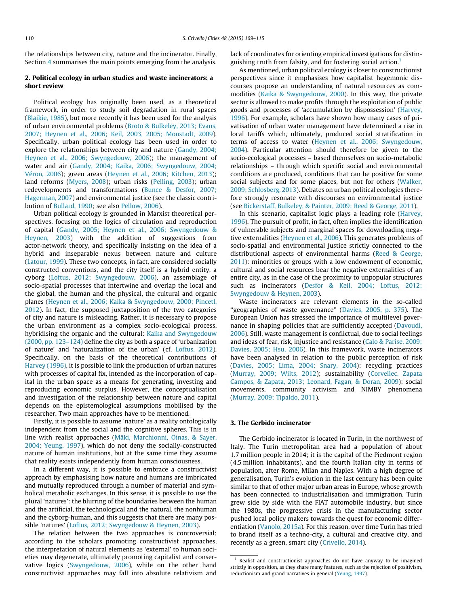the relationships between city, nature and the incinerator. Finally, Section [4](#page-5-0) summarises the main points emerging from the analysis.

# 2. Political ecology in urban studies and waste incinerators: a short review

Political ecology has originally been used, as a theoretical framework, in order to study soil degradation in rural spaces ([Blaikie, 1985](#page-5-0)), but more recently it has been used for the analysis of urban environmental problems [\(Broto & Bulkeley, 2013; Evans,](#page-5-0) [2007; Heynen et al., 2006; Keil, 2003, 2005; Monstadt, 2009\)](#page-5-0). Specifically, urban political ecology has been used in order to explore the relationships between city and nature ([Gandy, 2004;](#page-5-0) [Heynen et al., 2006; Swyngedouw, 2006](#page-5-0)); the management of water and air ([Gandy, 2004; Kaika, 2006; Swyngedouw, 2004;](#page-5-0) [Véron, 2006\)](#page-5-0); green areas ([Heynen et al., 2006; Kitchen, 2013\)](#page-6-0); land reforms [\(Myers, 2008\)](#page-6-0); urban risks ([Pelling, 2003](#page-6-0)); urban redevelopments and transformations ([Bunce & Desfor, 2007;](#page-5-0) [Hagerman, 2007\)](#page-5-0) and environmental justice (see the classic contribution of [Bullard, 1990;](#page-5-0) see also [Pellow, 2006\)](#page-6-0).

Urban political ecology is grounded in Marxist theoretical perspectives, focusing on the logics of circulation and reproduction of capital ([Gandy, 2005; Heynen et al., 2006; Swyngedouw &](#page-5-0) [Heynen, 2003](#page-5-0)) with the addition of suggestions from actor-network theory, and specifically insisting on the idea of a hybrid and inseparable nexus between nature and culture ([Latour, 1999](#page-6-0)). These two concepts, in fact, are considered socially constructed conventions, and the city itself is a hybrid entity, a cyborg ([Loftus, 2012; Swyngedouw, 2006\)](#page-6-0), an assemblage of socio-spatial processes that intertwine and overlap the local and the global, the human and the physical, the cultural and organic planes [\(Heynen et al., 2006; Kaika & Swyngedouw, 2000; Pincetl,](#page-6-0) [2012\)](#page-6-0). In fact, the supposed juxtaposition of the two categories of city and nature is misleading. Rather, it is necessary to propose the urban environment as a complex socio-ecological process, hybridising the organic and the cultural: [Kaika and Swyngedouw](#page-6-0) [\(2000, pp. 123–124\)](#page-6-0) define the city as both a space of 'urbanization of nature' and 'naturalization of the urban' (cf. [Loftus, 2012\)](#page-6-0). Specifically, on the basis of the theoretical contributions of [Harvey \(1996\),](#page-5-0) it is possible to link the production of urban natures with processes of capital fix, intended as the incorporation of capital in the urban space as a means for generating, investing and reproducing economic surplus. However, the conceptualisation and investigation of the relationship between nature and capital depends on the epistemological assumptions mobilised by the researcher. Two main approaches have to be mentioned.

Firstly, it is possible to assume 'nature' as a reality ontologically independent from the social and the cognitive spheres. This is in line with realist approaches [\(Mäki, Marchionni, Oinas, & Sayer,](#page-6-0) [2004; Yeung, 1997\)](#page-6-0), which do not deny the socially-constructed nature of human institutions, but at the same time they assume that reality exists independently from human consciousness.

In a different way, it is possible to embrace a constructivist approach by emphasising how nature and humans are imbricated and mutually reproduced through a number of material and symbolical metabolic exchanges. In this sense, it is possible to use the plural 'natures': the blurring of the boundaries between the human and the artificial, the technological and the natural, the nonhuman and the cyborg-human, and this suggests that there are many possible 'natures' ([Loftus, 2012; Swyngedouw & Heynen, 2003](#page-6-0)).

The relation between the two approaches is controversial: according to the scholars promoting constructivist approaches, the interpretation of natural elements as 'external' to human societies may degenerate, ultimately promoting capitalist and conservative logics ([Swyngedouw, 2006\)](#page-6-0), while on the other hand constructivist approaches may fall into absolute relativism and lack of coordinates for orienting empirical investigations for distinguishing truth from falsity, and for fostering social action.<sup>1</sup>

As mentioned, urban political ecology is closer to constructionist perspectives since it emphasises how capitalist hegemonic discourses propose an understanding of natural resources as commodities [\(Kaika & Swyngedouw, 2000\)](#page-6-0). In this way, the private sector is allowed to make profits through the exploitation of public goods and processes of 'accumulation by dispossession' [\(Harvey,](#page-5-0) [1996\)](#page-5-0). For example, scholars have shown how many cases of privatisation of urban water management have determined a rise in local tariffs which, ultimately, produced social stratification in terms of access to water ([Heynen et al., 2006; Swyngedouw,](#page-6-0) [2004\)](#page-6-0). Particular attention should therefore be given to the socio-ecological processes – based themselves on socio-metabolic relationships – through which specific social and environmental conditions are produced, conditions that can be positive for some social subjects and for some places, but not for others ([Walker,](#page-6-0) [2009; Schlosberg, 2013](#page-6-0)). Debates on urban political ecologies therefore strongly resonate with discourses on environmental justice (see [Bickerstaff, Bulkeley, & Painter, 2009; Reed & George, 2011](#page-5-0)).

In this scenario, capitalist logic plays a leading role [\(Harvey,](#page-5-0) [1996\)](#page-5-0). The pursuit of profit, in fact, often implies the identification of vulnerable subjects and marginal spaces for downloading negative externalities ([Heynen et al., 2006\)](#page-6-0). This generates problems of socio-spatial and environmental justice strictly connected to the distributional aspects of environmental harms ([Reed & George,](#page-6-0) [2011\)](#page-6-0): minorities or groups with a low endowment of economic, cultural and social resources bear the negative externalities of an entire city, as in the case of the proximity to unpopular structures such as incinerators ([Desfor & Keil, 2004; Loftus, 2012;](#page-5-0) [Swyngedouw & Heynen, 2003\)](#page-5-0).

Waste incinerators are relevant elements in the so-called "geographies of waste governance" [\(Davies, 2005, p. 375\)](#page-5-0). The European Union has stressed the importance of multilevel governance in shaping policies that are sufficiently accepted [\(Davoudi,](#page-5-0) [2006\)](#page-5-0). Still, waste management is conflictual, due to social feelings and ideas of fear, risk, injustice and resistance [\(Calo & Parise, 2009;](#page-5-0) [Davies, 2005; Hsu, 2006\)](#page-5-0). In this framework, waste incinerators have been analysed in relation to the public perception of risk ([Davies, 2005; Lima, 2004; Snary, 2004](#page-5-0)); recycling practices ([Murray, 2009; Wilts, 2012](#page-6-0)); sustainability [\(Corvellec, Zapata](#page-5-0) [Campos, & Zapata, 2013; Leonard, Fagan, & Doran, 2009\)](#page-5-0); social movements, community activism and NIMBY phenomena ([Murray, 2009; Tipaldo, 2011](#page-6-0)).

# 3. The Gerbido incinerator

The Gerbido incinerator is located in Turin, in the northwest of Italy. The Turin metropolitan area had a population of about 1.7 million people in 2014; it is the capital of the Piedmont region (4.5 million inhabitants), and the fourth Italian city in terms of population, after Rome, Milan and Naples. With a high degree of generalisation, Turin's evolution in the last century has been quite similar to that of other major urban areas in Europe, whose growth has been connected to industrialisation and immigration. Turin grew side by side with the FIAT automobile industry, but since the 1980s, the progressive crisis in the manufacturing sector pushed local policy makers towards the quest for economic differentiation ([Vanolo, 2015a](#page-6-0)). For this reason, over time Turin has tried to brand itself as a techno-city, a cultural and creative city, and recently as a green, smart city [\(Crivello, 2014\)](#page-5-0).

Realist and constructionist approaches do not have anyway to be imagined strictly in opposition, as they share many features, such as the rejection of positivism, reductionism and grand narratives in general [\(Yeung, 1997\)](#page-6-0).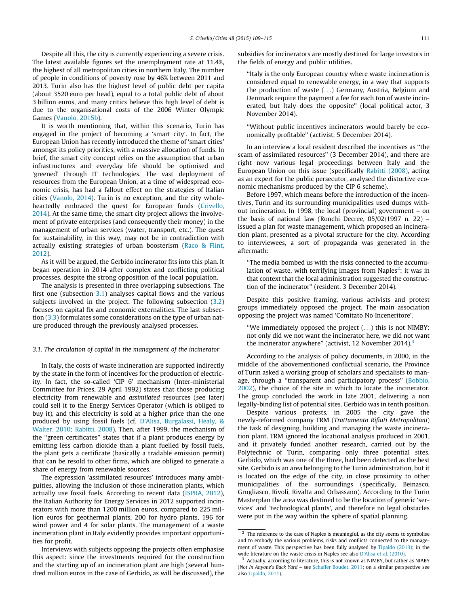<span id="page-2-0"></span>Despite all this, the city is currently experiencing a severe crisis. The latest available figures set the unemployment rate at 11.4%, the highest of all metropolitan cities in northern Italy. The number of people in conditions of poverty rose by 46% between 2011 and 2013. Turin also has the highest level of public debt per capita (about 3520 euro per head), equal to a total public debt of about 3 billion euros, and many critics believe this high level of debt is due to the organisational costs of the 2006 Winter Olympic Games ([Vanolo, 2015b](#page-6-0)).

It is worth mentioning that, within this scenario, Turin has engaged in the project of becoming a 'smart city'. In fact, the European Union has recently introduced the theme of 'smart cities' amongst its policy priorities, with a massive allocation of funds. In brief, the smart city concept relies on the assumption that urban infrastructures and everyday life should be optimised and 'greened' through IT technologies. The vast deployment of resources from the European Union, at a time of widespread economic crisis, has had a fallout effect on the strategies of Italian cities ([Vanolo, 2014](#page-6-0)). Turin is no exception, and the city wholeheartedly embraced the quest for European funds ([Crivello,](#page-5-0) [2014\)](#page-5-0). At the same time, the smart city project allows the involvement of private enterprises (and consequently their money) in the management of urban services (water, transport, etc.). The quest for sustainability, in this way, may not be in contradiction with actually existing strategies of urban boosterism ([Raco & Flint,](#page-6-0) [2012\)](#page-6-0).

As it will be argued, the Gerbido incinerator fits into this plan. It began operation in 2014 after complex and conflicting political processes, despite the strong opposition of the local population.

The analysis is presented in three overlapping subsections. The first one (subsection 3.1) analyses capital flows and the various subjects involved in the project. The following subsection [\(3.2\)](#page-3-0) focuses on capital fix and economic externalities. The last subsection ([3.3](#page-4-0)) formulates some considerations on the type of urban nature produced through the previously analysed processes.

## 3.1. The circulation of capital in the management of the incinerator

In Italy, the costs of waste incineration are supported indirectly by the state in the form of incentives for the production of electricity. In fact, the so-called 'CIP 6' mechanism (Inter-ministerial Committee for Prices, 29 April 1992) states that those producing electricity from renewable and assimilated resources (see later) could sell it to the Energy Services Operator (which is obliged to buy it), and this electricity is sold at a higher price than the one produced by using fossil fuels (cf. [D'Alisa, Burgalassi, Healy, &](#page-5-0) [Walter, 2010; Rabitti, 2008](#page-5-0)). Then, after 1999, the mechanism of the ''green certificates'' states that if a plant produces energy by emitting less carbon dioxide than a plant fuelled by fossil fuels, the plant gets a certificate (basically a tradable emission permit) that can be resold to other firms, which are obliged to generate a share of energy from renewable sources.

The expression 'assimilated resources' introduces many ambiguities, allowing the inclusion of those incineration plants, which actually use fossil fuels. According to recent data [\(ISPRA, 2012\)](#page-6-0), the Italian Authority for Energy Services in 2012 supported incinerators with more than 1200 million euros, compared to 225 million euros for geothermal plants, 200 for hydro plants, 196 for wind power and 4 for solar plants. The management of a waste incineration plant in Italy evidently provides important opportunities for profit.

Interviews with subjects opposing the projects often emphasise this aspect: since the investments required for the construction and the starting up of an incineration plant are high (several hundred million euros in the case of Gerbido, as will be discussed), the subsidies for incinerators are mostly destined for large investors in the fields of energy and public utilities.

''Italy is the only European country where waste incineration is considered equal to renewable energy, in a way that supports the production of waste (...) Germany, Austria, Belgium and Denmark require the payment a fee for each ton of waste incinerated, but Italy does the opposite'' (local political actor, 3 November 2014).

''Without public incentives incinerators would barely be economically profitable'' (activist, 5 December 2014).

In an interview a local resident described the incentives as ''the scam of assimilated resources'' (3 December 2014), and there are right now various legal proceedings between Italy and the European Union on this issue (specifically [Rabitti \(2008\),](#page-6-0) acting as an expert for the public persecutor, analysed the distortive economic mechanisms produced by the CIP 6 scheme).

Before 1997, which means before the introduction of the incentives, Turin and its surrounding municipalities used dumps without incineration. In 1998, the local (provincial) government – on the basis of national law (Ronchi Decree,  $05/02/1997$  n. 22) – issued a plan for waste management, which proposed an incineration plant, presented as a pivotal structure for the city. According to interviewees, a sort of propaganda was generated in the aftermath:

''The media bombed us with the risks connected to the accumulation of waste, with terrifying images from Naples<sup>2</sup>; it was in that context that the local administration suggested the construction of the incinerator'' (resident, 3 December 2014).

Despite this positive framing, various activists and protest groups immediately opposed the project. The main association opposing the project was named 'Comitato No Inceneritore'.

''We immediately opposed the project (...) this is not NIMBY: not only did we not want the incinerator here, we did not want the incinerator anywhere" (activist, 12 November 2014).<sup>3</sup>

According to the analysis of policy documents, in 2000, in the middle of the abovementioned conflictual scenario, the Province of Turin asked a working group of scholars and specialists to manage, through a ''transparent and participatory process'' ([Bobbio,](#page-5-0) [2002](#page-5-0)), the choice of the site in which to locate the incinerator. The group concluded the work in late 2001, delivering a non legally-binding list of potential sites. Gerbido was in tenth position.

Despite various protests, in 2005 the city gave the newly-reformed company TRM (Trattamento Rifiuti Metropolitani) the task of designing, building and managing the waste incineration plant. TRM ignored the locational analysis produced in 2001, and it privately funded another research, carried out by the Polytechnic of Turin, comparing only three potential sites. Gerbido, which was one of the three, had been detected as the best site. Gerbido is an area belonging to the Turin administration, but it is located on the edge of the city, in close proximity to other municipalities of the surroundings (specifically, Beinasco, Grugliasco, Rivoli, Rivalta and Orbassano). According to the Turin Masterplan the area was destined to be the location of generic 'services' and 'technological plants', and therefore no legal obstacles were put in the way within the sphere of spatial planning.

 $^{\rm 2}$  The reference to the case of Naples is meaningful, as the city seems to symbolise and to embody the various problems, risks and conflicts connected to the management of waste. This perspective has been fully analysed by [Tipaldo \(2013\);](#page-6-0) in the wide literature on the waste crisis in Naples see also [D'Alisa et al. \(2010\)](#page-5-0).

<sup>3</sup> Actually, according to literature, this is not known as NIMBY, but rather as NIABY (Not In Anyone's Back Yard – see [Schaffer Boudet, 2011;](#page-6-0) on a similar perspective see also [Tipaldo, 2011\)](#page-6-0).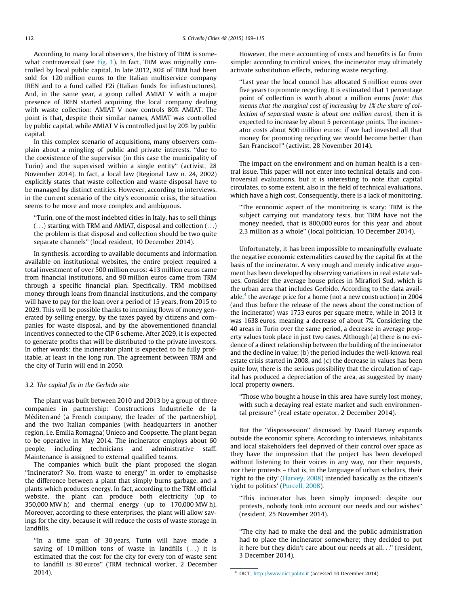<span id="page-3-0"></span>According to many local observers, the history of TRM is somewhat controversial (see [Fig. 1\)](#page-4-0). In fact, TRM was originally controlled by local public capital. In late 2012, 80% of TRM had been sold for 120 million euros to the Italian multiservice company IREN and to a fund called F2i (Italian funds for infrastructures). And, in the same year, a group called AMIAT V with a major presence of IREN started acquiring the local company dealing with waste collection: AMIAT V now controls 80% AMIAT. The point is that, despite their similar names, AMIAT was controlled by public capital, while AMIAT V is controlled just by 20% by public capital.

In this complex scenario of acquisitions, many observers complain about a mingling of public and private interests, ''due to the coexistence of the supervisor (in this case the municipality of Turin) and the supervised within a single entity'' (activist, 28 November 2014). In fact, a local law (Regional Law n. 24, 2002) explicitly states that waste collection and waste disposal have to be managed by distinct entities. However, according to interviews, in the current scenario of the city's economic crisis, the situation seems to be more and more complex and ambiguous.

''Turin, one of the most indebted cities in Italy, has to sell things (...) starting with TRM and AMIAT, disposal and collection (...) the problem is that disposal and collection should be two quite separate channels'' (local resident, 10 December 2014).

In synthesis, according to available documents and information available on institutional websites, the entire project required a total investment of over 500 million euros: 413 million euros came from financial institutions, and 90 million euros came from TRM through a specific financial plan. Specifically, TRM mobilised money through loans from financial institutions, and the company will have to pay for the loan over a period of 15 years, from 2015 to 2029. This will be possible thanks to incoming flows of money generated by selling energy, by the taxes payed by citizens and companies for waste disposal, and by the abovementioned financial incentives connected to the CIP 6 scheme. After 2029, it is expected to generate profits that will be distributed to the private investors. In other words: the incinerator plant is expected to be fully profitable, at least in the long run. The agreement between TRM and the city of Turin will end in 2050.

## 3.2. The capital fix in the Gerbido site

The plant was built between 2010 and 2013 by a group of three companies in partnership: Constructions Industrielle de la Méditerrané (a French company, the leader of the partnership), and the two Italian companies (with headquarters in another region, i.e. Emilia Romagna) Unieco and Coopsette. The plant began to be operative in May 2014. The incinerator employs about 60 people, including technicians and administrative staff. Maintenance is assigned to external qualified teams.

The companies which built the plant proposed the slogan ''Incinerator? No, from waste to energy'' in order to emphasise the difference between a plant that simply burns garbage, and a plants which produces energy. In fact, according to the TRM official website, the plant can produce both electricity (up to 350,000 MW h) and thermal energy (up to 170,000 MW h). Moreover, according to these enterprises, the plant will allow savings for the city, because it will reduce the costs of waste storage in landfills.

''In a time span of 30 years, Turin will have made a saving of 10 million tons of waste in landfills (...) it is estimated that the cost for the city for every ton of waste sent to landfill is 80 euros'' (TRM technical worker, 2 December 2014).

However, the mere accounting of costs and benefits is far from simple: according to critical voices, the incinerator may ultimately activate substitution effects, reducing waste recycling.

''Last year the local council has allocated 5 million euros over five years to promote recycling. It is estimated that 1 percentage point of collection is worth about a million euros *[note: this* means that the marginal cost of increasing by 1% the share of collection of separated waste is about one million euros], then it is expected to increase by about 5 percentage points. The incinerator costs about 500 million euros: if we had invested all that money for promoting recycling we would become better than San Francisco!'' (activist, 28 November 2014).

The impact on the environment and on human health is a central issue. This paper will not enter into technical details and controversial evaluations, but it is interesting to note that capital circulates, to some extent, also in the field of technical evaluations, which have a high cost. Consequently, there is a lack of monitoring.

''The economic aspect of the monitoring is scary: TRM is the subject carrying out mandatory tests, but TRM have not the money needed, that is 800,000 euros for this year and about 2.3 million as a whole'' (local politician, 10 December 2014).

Unfortunately, it has been impossible to meaningfully evaluate the negative economic externalities caused by the capital fix at the basis of the incinerator. A very rough and merely indicative argument has been developed by observing variations in real estate values. Consider the average house prices in Mirafiori Sud, which is the urban area that includes Gerbido. According to the data available, $4$  the average price for a home (not a new construction) in 2004 (and thus before the release of the news about the construction of the incinerator) was 1753 euros per square metre, while in 2013 it was 1638 euros, meaning a decrease of about 7%. Considering the 40 areas in Turin over the same period, a decrease in average property values took place in just two cases. Although (a) there is no evidence of a direct relationship between the building of the incinerator and the decline in value; (b) the period includes the well-known real estate crisis started in 2008, and (c) the decrease in values has been quite low, there is the serious possibility that the circulation of capital has produced a depreciation of the area, as suggested by many local property owners.

''Those who bought a house in this area have surely lost money, with such a decaying real estate market and such environmental pressure'' (real estate operator, 2 December 2014).

But the ''dispossession'' discussed by David Harvey expands outside the economic sphere. According to interviews, inhabitants and local stakeholders feel deprived of their control over space as they have the impression that the project has been developed without listening to their voices in any way, nor their requests, nor their protests – that is, in the language of urban scholars, their 'right to the city' [\(Harvey, 2008](#page-6-0)) intended basically as the citizen's 'right to politics' ([Purcell, 2008](#page-6-0)).

''This incinerator has been simply imposed: despite our protests, nobody took into account our needs and our wishes'' (resident, 25 November 2014).

''The city had to make the deal and the public administration had to place the incinerator somewhere; they decided to put it here but they didn't care about our needs at all...'' (resident, 3 December 2014).

<sup>4</sup> OICT; <http://www.oict.polito.it> (accessed 10 December 2014).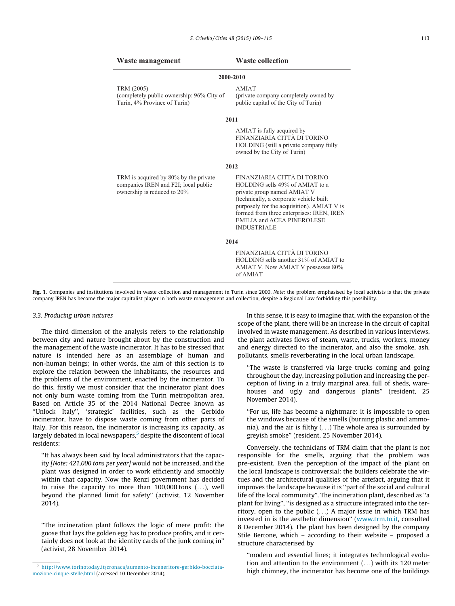<span id="page-4-0"></span>

| Waste management                                                                                             | <b>Waste collection</b>                                                                                                                                                                                                                                                                        |
|--------------------------------------------------------------------------------------------------------------|------------------------------------------------------------------------------------------------------------------------------------------------------------------------------------------------------------------------------------------------------------------------------------------------|
|                                                                                                              | 2000-2010                                                                                                                                                                                                                                                                                      |
| TRM (2005)<br>(completely public ownership: 96% City of<br>Turin, 4% Province of Turin)                      | <b>AMIAT</b><br>(private company completely owned by<br>public capital of the City of Turin)                                                                                                                                                                                                   |
|                                                                                                              | 2011                                                                                                                                                                                                                                                                                           |
|                                                                                                              | AMIAT is fully acquired by<br>FINANZIARIA CITTÀ DI TORINO<br>HOLDING (still a private company fully<br>owned by the City of Turin)                                                                                                                                                             |
|                                                                                                              | 2012                                                                                                                                                                                                                                                                                           |
| TRM is acquired by 80% by the private<br>companies IREN and F2I; local public<br>ownership is reduced to 20% | FINANZIARIA CITTÀ DI TORINO<br>HOLDING sells 49% of AMIAT to a<br>private group named AMIAT V<br>(technically, a corporate vehicle built<br>purposely for the acquisition). AMIAT V is<br>formed from three enterprises: IREN, IREN<br><b>EMILIA and ACEA PINEROLESE</b><br><b>INDUSTRIALE</b> |
|                                                                                                              | 2014                                                                                                                                                                                                                                                                                           |
|                                                                                                              | FINANZIARIA CITTÀ DI TORINO<br>HOLDING sells another 31% of AMIAT to<br>AMIAT V. Now AMIAT V possesses 80%<br>of AMIAT                                                                                                                                                                         |

Fig. 1. Companies and institutions involved in waste collection and management in Turin since 2000. Note: the problem emphasised by local activists is that the private company IREN has become the major capitalist player in both waste management and collection, despite a Regional Law forbidding this possibility.

#### 3.3. Producing urban natures

The third dimension of the analysis refers to the relationship between city and nature brought about by the construction and the management of the waste incinerator. It has to be stressed that nature is intended here as an assemblage of human and non-human beings; in other words, the aim of this section is to explore the relation between the inhabitants, the resources and the problems of the environment, enacted by the incinerator. To do this, firstly we must consider that the incinerator plant does not only burn waste coming from the Turin metropolitan area. Based on Article 35 of the 2014 National Decree known as ''Unlock Italy'', 'strategic' facilities, such as the Gerbido incinerator, have to dispose waste coming from other parts of Italy. For this reason, the incinerator is increasing its capacity, as largely debated in local newspapers, $5$  despite the discontent of local residents:

''It has always been said by local administrators that the capacity [Note: 421,000 tons per year] would not be increased, and the plant was designed in order to work efficiently and smoothly within that capacity. Now the Renzi government has decided to raise the capacity to more than 100,000 tons (...), well beyond the planned limit for safety'' (activist, 12 November 2014).

''The incineration plant follows the logic of mere profit: the goose that lays the golden egg has to produce profits, and it certainly does not look at the identity cards of the junk coming in'' (activist, 28 November 2014).

In this sense, it is easy to imagine that, with the expansion of the scope of the plant, there will be an increase in the circuit of capital involved in waste management. As described in various interviews, the plant activates flows of steam, waste, trucks, workers, money and energy directed to the incinerator, and also the smoke, ash, pollutants, smells reverberating in the local urban landscape.

''The waste is transferred via large trucks coming and going throughout the day, increasing pollution and increasing the perception of living in a truly marginal area, full of sheds, warehouses and ugly and dangerous plants'' (resident, 25 November 2014).

''For us, life has become a nightmare: it is impossible to open the windows because of the smells (burning plastic and ammonia), and the air is filthy (...) The whole area is surrounded by greyish smoke'' (resident, 25 November 2014).

Conversely, the technicians of TRM claim that the plant is not responsible for the smells, arguing that the problem was pre-existent. Even the perception of the impact of the plant on the local landscape is controversial: the builders celebrate the virtues and the architectural qualities of the artefact, arguing that it improves the landscape because it is ''part of the social and cultural life of the local community''. The incineration plant, described as ''a plant for living'', ''is designed as a structure integrated into the territory, open to the public (...) A major issue in which TRM has invested in is the aesthetic dimension'' [\(www.trm.to.it](http://www.trm.to.it), consulted 8 December 2014). The plant has been designed by the company Stile Bertone, which – according to their website – proposed a structure characterised by

''modern and essential lines; it integrates technological evolution and attention to the environment (...) with its 120 meter high chimney, the incinerator has become one of the buildings

<sup>5</sup> [http://www.torinotoday.it/cronaca/aumento-inceneritore-gerbido-bocciata](http://www.torinotoday.it/cronaca/aumento-inceneritore-gerbido-bocciata-mozione-cinque-stelle.html)[mozione-cinque-stelle.html](http://www.torinotoday.it/cronaca/aumento-inceneritore-gerbido-bocciata-mozione-cinque-stelle.html) (accessed 10 December 2014).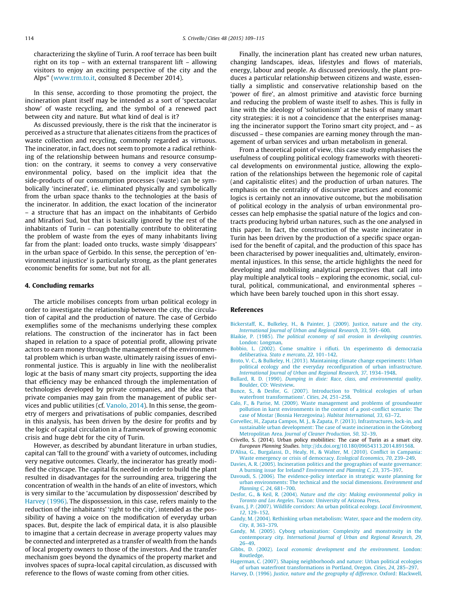<span id="page-5-0"></span>characterizing the skyline of Turin. A roof terrace has been built right on its top – with an external transparent lift – allowing visitors to enjoy an exciting perspective of the city and the Alps'' [\(www.trm.to.it](http://www.trm.to.it), consulted 8 December 2014).

In this sense, according to those promoting the project, the incineration plant itself may be intended as a sort of 'spectacular show' of waste recycling, and the symbol of a renewed pact between city and nature. But what kind of deal is it?

As discussed previously, there is the risk that the incinerator is perceived as a structure that alienates citizens from the practices of waste collection and recycling, commonly regarded as virtuous. The incinerator, in fact, does not seem to promote a radical rethinking of the relationship between humans and resource consumption: on the contrary, it seems to convey a very conservative environmental policy, based on the implicit idea that the side-products of our consumption processes (waste) can be symbolically 'incinerated', i.e. eliminated physically and symbolically from the urban space thanks to the technologies at the basis of the incinerator. In addition, the exact location of the incinerator – a structure that has an impact on the inhabitants of Gerbido and Mirafiori Sud, but that is basically ignored by the rest of the inhabitants of Turin – can potentially contribute to obliterating the problem of waste from the eyes of many inhabitants living far from the plant: loaded onto trucks, waste simply 'disappears' in the urban space of Gerbido. In this sense, the perception of 'environmental injustice' is particularly strong, as the plant generates economic benefits for some, but not for all.

#### 4. Concluding remarks

The article mobilises concepts from urban political ecology in order to investigate the relationship between the city, the circulation of capital and the production of nature. The case of Gerbido exemplifies some of the mechanisms underlying these complex relations. The construction of the incinerator has in fact been shaped in relation to a space of potential profit, allowing private actors to earn money through the management of the environmental problem which is urban waste, ultimately raising issues of environmental justice. This is arguably in line with the neoliberalist logic at the basis of many smart city projects, supporting the idea that efficiency may be enhanced through the implementation of technologies developed by private companies, and the idea that private companies may gain from the management of public services and public utilities (cf. [Vanolo, 2014](#page-6-0)). In this sense, the geometry of mergers and privatisations of public companies, described in this analysis, has been driven by the desire for profits and by the logic of capital circulation in a framework of growing economic crisis and huge debt for the city of Turin.

However, as described by abundant literature in urban studies, capital can 'fall to the ground' with a variety of outcomes, including very negative outcomes. Clearly, the incinerator has greatly modified the cityscape. The capital fix needed in order to build the plant resulted in disadvantages for the surrounding area, triggering the concentration of wealth in the hands of an elite of investors, which is very similar to the 'accumulation by dispossession' described by Harvey (1996). The dispossession, in this case, refers mainly to the reduction of the inhabitants' 'right to the city', intended as the possibility of having a voice on the modification of everyday urban spaces. But, despite the lack of empirical data, it is also plausible to imagine that a certain decrease in average property values may be connected and interpreted as a transfer of wealth from the hands of local property owners to those of the investors. And the transfer mechanism goes beyond the dynamics of the property market and involves spaces of supra-local capital circulation, as discussed with reference to the flows of waste coming from other cities.

Finally, the incineration plant has created new urban natures, changing landscapes, ideas, lifestyles and flows of materials, energy, labour and people. As discussed previously, the plant produces a particular relationship between citizens and waste, essentially a simplistic and conservative relationship based on the 'power of fire', an almost primitive and atavistic force burning and reducing the problem of waste itself to ashes. This is fully in line with the ideology of 'solutionism' at the basis of many smart city strategies: it is not a coincidence that the enterprises managing the incinerator support the Torino smart city project, and – as discussed – these companies are earning money through the management of urban services and urban metabolism in general.

From a theoretical point of view, this case study emphasises the usefulness of coupling political ecology frameworks with theoretical developments on environmental justice, allowing the exploration of the relationships between the hegemonic role of capital (and capitalistic elites) and the production of urban natures. The emphasis on the centrality of discursive practices and economic logics is certainly not an innovative outcome, but the mobilisation of political ecology in the analysis of urban environmental processes can help emphasise the spatial nature of the logics and contracts producing hybrid urban natures, such as the one analysed in this paper. In fact, the construction of the waste incinerator in Turin has been driven by the production of a specific space organised for the benefit of capital, and the production of this space has been characterised by power inequalities and, ultimately, environmental injustices. In this sense, the article highlights the need for developing and mobilising analytical perspectives that call into play multiple analytical tools – exploring the economic, social, cultural, political, communicational, and environmental spheres – which have been barely touched upon in this short essay.

#### References

- [Bickerstaff, K., Bulkeley, H., & Painter, J. \(2009\). Justice, nature and the city.](http://refhub.elsevier.com/S0264-2751(15)00097-9/h0005) [International Journal of Urban and Regional Research, 33](http://refhub.elsevier.com/S0264-2751(15)00097-9/h0005), 591–600.
- Blaikie, P. (1985). [The political economy of soil erosion in developing countries](http://refhub.elsevier.com/S0264-2751(15)00097-9/h0010). [London: Longman](http://refhub.elsevier.com/S0264-2751(15)00097-9/h0010).
- [Bobbio, L. \(2002\). Come smaltire i rifiuti. Un esperimento di democrazia](http://refhub.elsevier.com/S0264-2751(15)00097-9/h0015) deliberativa. [Stato e mercato, 22](http://refhub.elsevier.com/S0264-2751(15)00097-9/h0015), 101–142.
- [Broto, V. C., & Bulkeley, H. \(2013\). Maintaining climate change experiments: Urban](http://refhub.elsevier.com/S0264-2751(15)00097-9/h0020) [political ecology and the everyday reconfiguration of urban infrastructure.](http://refhub.elsevier.com/S0264-2751(15)00097-9/h0020) [International Journal of Urban and Regional Research, 37](http://refhub.elsevier.com/S0264-2751(15)00097-9/h0020), 1934–1948.
- Bullard, R. D. (1990). [Dumping in dixie: Race, class, and environmental quality](http://refhub.elsevier.com/S0264-2751(15)00097-9/h9000). [Boulder, CO: Westview](http://refhub.elsevier.com/S0264-2751(15)00097-9/h9000).
- [Bunce, S., & Desfor, G. \(2007\). Introduction to 'Political ecologies of urban](http://refhub.elsevier.com/S0264-2751(15)00097-9/h0025) [waterfront transformations'.](http://refhub.elsevier.com/S0264-2751(15)00097-9/h0025) Cities, 24, 251–258.
- [Calo, F., & Parise, M. \(2009\). Waste management and problems of groundwater](http://refhub.elsevier.com/S0264-2751(15)00097-9/h0030) [pollution in karst environments in the context of a post-conflict scenario: The](http://refhub.elsevier.com/S0264-2751(15)00097-9/h0030) [case of Mostar \(Bosnia Herzegovina\).](http://refhub.elsevier.com/S0264-2751(15)00097-9/h0030) Habitat International, 33, 63–72.
- [Corvellec, H., Zapata Campos, M. J., & Zapata, P. \(2013\). Infrastructures, lock-in, and](http://refhub.elsevier.com/S0264-2751(15)00097-9/h0035) [sustainable urban development: The case of waste incineration in the Göteborg](http://refhub.elsevier.com/S0264-2751(15)00097-9/h0035) Metropolitan Area. [Journal of Cleaner Production, 50](http://refhub.elsevier.com/S0264-2751(15)00097-9/h0035), 32–39.
- Crivello, S. (2014). Urban policy mobilities: The case of Turin as a smart city. European Planning Studies. <http://dx.doi.org/10.180/09654313.2014.891568>.
- [D'Alisa, G., Burgalassi, D., Healy, H., & Walter, M. \(2010\). Conflict in Campania:](http://refhub.elsevier.com/S0264-2751(15)00097-9/h0045) [Waste emergency or crisis of democracy.](http://refhub.elsevier.com/S0264-2751(15)00097-9/h0045) Ecological Economics, 70, 239–249.
- [Davies, A. R. \(2005\). Incineration politics and the geographies of waste governance:](http://refhub.elsevier.com/S0264-2751(15)00097-9/h0050) A burning issue for Ireland? [Environment and Planning C, 23](http://refhub.elsevier.com/S0264-2751(15)00097-9/h0050), 375–397.
- [Davoudi, S. \(2006\). The evidence-policy interface in strategic waste planning for](http://refhub.elsevier.com/S0264-2751(15)00097-9/h0055) [urban environments: The technical and the social dimensions.](http://refhub.elsevier.com/S0264-2751(15)00097-9/h0055) Environment and [Planning C, 24](http://refhub.elsevier.com/S0264-2751(15)00097-9/h0055), 681–700.
- Desfor, G., & Keil, R. (2004). [Nature and the city: Making environmental policy in](http://refhub.elsevier.com/S0264-2751(15)00097-9/h0060) Toronto and Los Angeles[. Tucson: University of Arizona Press](http://refhub.elsevier.com/S0264-2751(15)00097-9/h0060).
- [Evans, J. P. \(2007\). Wildlife corridors: An urban political ecology.](http://refhub.elsevier.com/S0264-2751(15)00097-9/h0065) Local Environment, 12[, 129–152](http://refhub.elsevier.com/S0264-2751(15)00097-9/h0065).
- [Gandy, M. \(2004\). Rethinking urban metabolism: Water, space and the modern city.](http://refhub.elsevier.com/S0264-2751(15)00097-9/h0070) City, 8[, 363–379.](http://refhub.elsevier.com/S0264-2751(15)00097-9/h0070)
- [Gandy, M. \(2005\). Cyborg urbanization: Complexity and monstrosity in the](http://refhub.elsevier.com/S0264-2751(15)00097-9/h0075) contemporary city. [International Journal of Urban and Regional Research, 29](http://refhub.elsevier.com/S0264-2751(15)00097-9/h0075), [26–49.](http://refhub.elsevier.com/S0264-2751(15)00097-9/h0075)
- Gibbs, D. (2002). [Local economic development and the environment](http://refhub.elsevier.com/S0264-2751(15)00097-9/h0080). London: [Routledge](http://refhub.elsevier.com/S0264-2751(15)00097-9/h0080).
- [Hagerman, C. \(2007\). Shaping neighborhoods and nature: Urban political ecologies](http://refhub.elsevier.com/S0264-2751(15)00097-9/h0085) [of urban waterfront transformations in Portland, Oregon.](http://refhub.elsevier.com/S0264-2751(15)00097-9/h0085) Cities, 24, 285–297.

Harvey, D. (1996). [Justice, nature and the geography of difference](http://refhub.elsevier.com/S0264-2751(15)00097-9/h0090). Oxford: Blackwell.